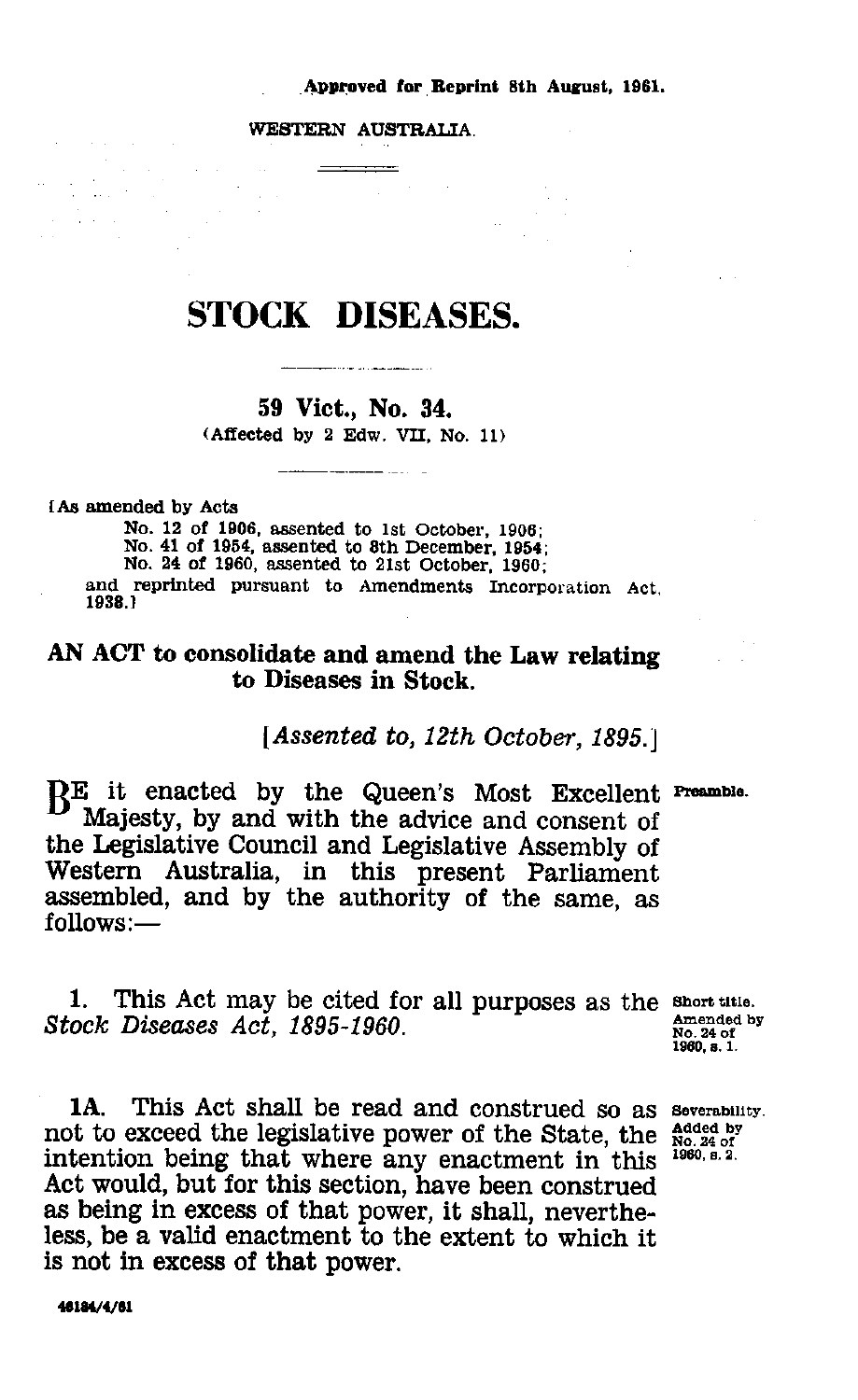### Approved for Reprint 8th August, 1961. .

WESTERN AUSTRALIA.

# STOCK DISEASES.

# **59 Viet., No. 34.** (Affected by 2 Edw. VII, No. 11)

[As amended by Acts

 $\mathcal{L}_{\text{max}} = 1000$ 

No. 12 of 1906, assented to 1st October, 1906; No. 41 of 1954, assented to 8th December, 1954; No. 24 of 1960, assented to 21st October, 1960; and reprinted pursuant to Amendments Incorporation Act, 1938.1

# AN **ACT to consolidate and** amend the Law relating to **Diseases in Stock.**

## *[Assented to, 12th October, 1895.]*

B<sup>E</sup> it enacted by the Queen's Most Excellent Preamble.<br>Majesty by and with the advice and consent of Majesty, by and with the advice and consent of the Legislative Council and Legislative Assembly of Western Australia, in this present Parliament assembled, and by the authority of the same, *as* follows:— *Stock Example 16. (Assented to,* By and with the authe Legislative Council and Leg Western Australia, in this assembled, and by the author follows:—<br>
1. This Act may be cited for Stock Diseases Act, 1895-1960.<br>
1. This

1. This Act may be cited for all purposes as the short title.<br>Stock Diseases Act, 1895-1960.

1A. This Act shall be read and construed so as **Severability.** not to exceed the legislative power of the State, the intention being that where any enactment in this Act would, but for this section, have been construed as being in excess of that power, it shall, nevertheless, be a valid enactment to the extent to which it is not in excess of that power.

**Amended by No. 24 of 1960, e. 1.**

**Added by No. 24 of 1960, s. 2.**

**46184/4/61**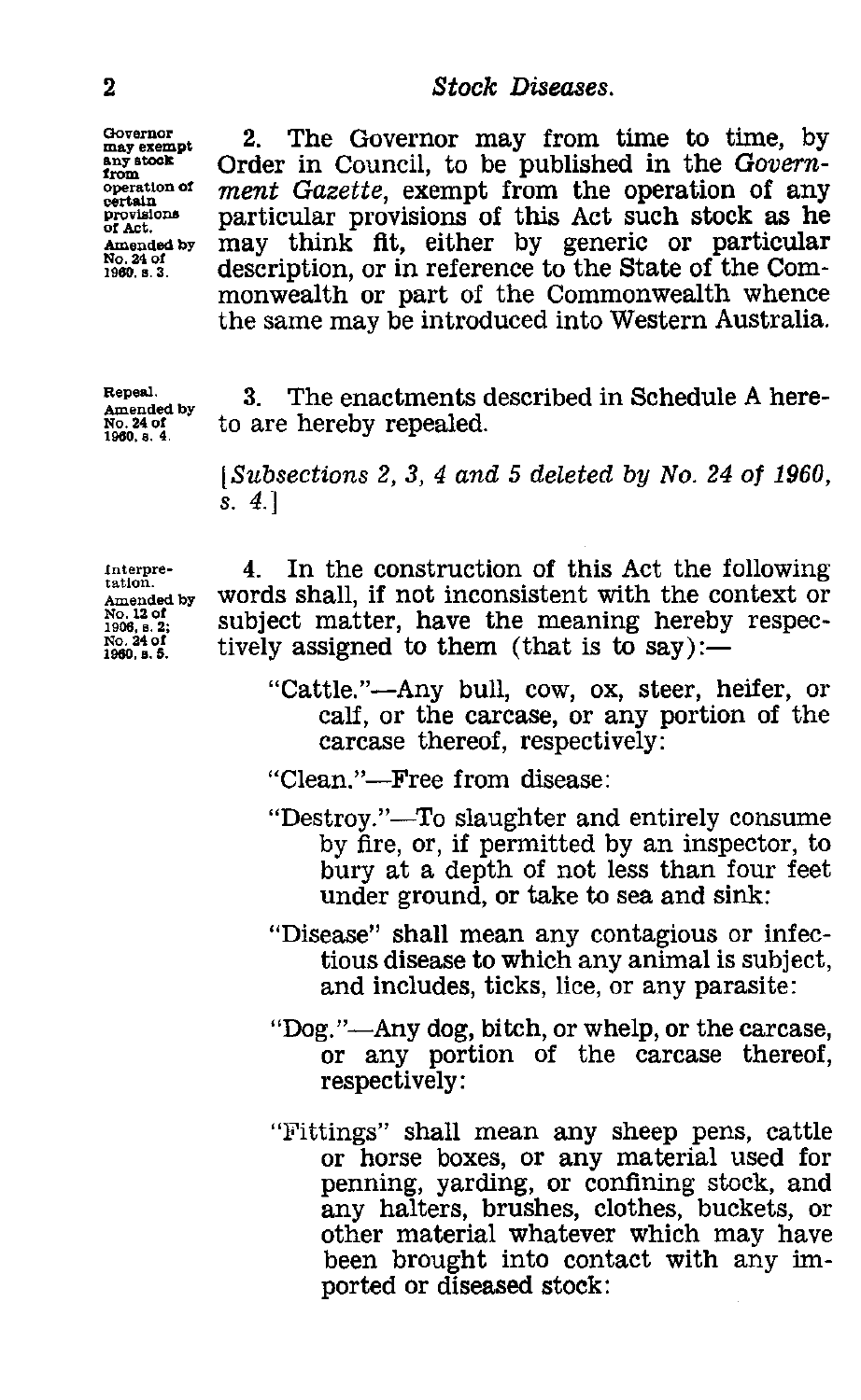**Governor**<br>may exempt<br>any stock from<br>operation of **No. 24 of**

<sup>2</sup><br>
<sup>2</sup><br>
<sup>Chovernor</sup><br>
<sup>Chovernor</sup><br>
<sup>2</sup><br>
<sup>Chovernor</sub><br>
<sup>2</sup><br>
Chovernor in Council, to be published<br>
in the counting the properties of the properties of the properties of the properties of the properties of the properties of </sup> 2. The Governor may from time to time, by Order in Council, to be published in the Govern**operation of** *ment* Gazette, exempt from the operation of any **provisions provisions provisions c** provisions particular provisions of this Act such stock as he amended by may think fit, either by generic or particular or Act.<br>Amended by may think fit, either by generic or particular<br>
1960. s <sup>3.</sup> description, or in reference to the State of the Com-<br>
1960. s <sup>3</sup> monwealth or part of the Commonwealth whence the same may be introduced into Western Australia.

**Repeal. Amended by No. 24 of 1980. s. 4.**

3. The enactments described in Schedule A hereto are hereby repealed.

*[Subsections 2, 3, 4 and 5 deleted by No. 24 of 1960, s. 4.]*

**Interpretation. Amended by No. 12 of 1906, 6. 2; No. 24 of 1960, a. 5.**

4. In the construction of this Act the following words shall, if not inconsistent with the context or subject matter, have the meaning hereby respectively assigned to them (that is to say):—

"Cattle."—Any bull, cow, ox, steer, heifer, or calf, or the carcase, or any portion of the carcase thereof, respectively:

"Clean."—Free from disease:

- "Destroy."—To slaughter and entirely consume by fire, or, if permitted by an inspector, to bury at a depth of not less than four feet under ground, or take to sea and sink:
- "Disease" shall mean any contagious or infectious disease to which any animal is subject, and includes, ticks, lice, or any parasite:
- "Dog."—Any dog, bitch, or whelp, or the carcase, or any portion of the carcase thereof, respectively:
- "Fittings" shall mean any sheep pens, cattle or horse boxes, or any material used for penning, yarding, or confining stock, and any halters, brushes, clothes, buckets, or other material whatever which may have been brought into contact with any imported or diseased stock: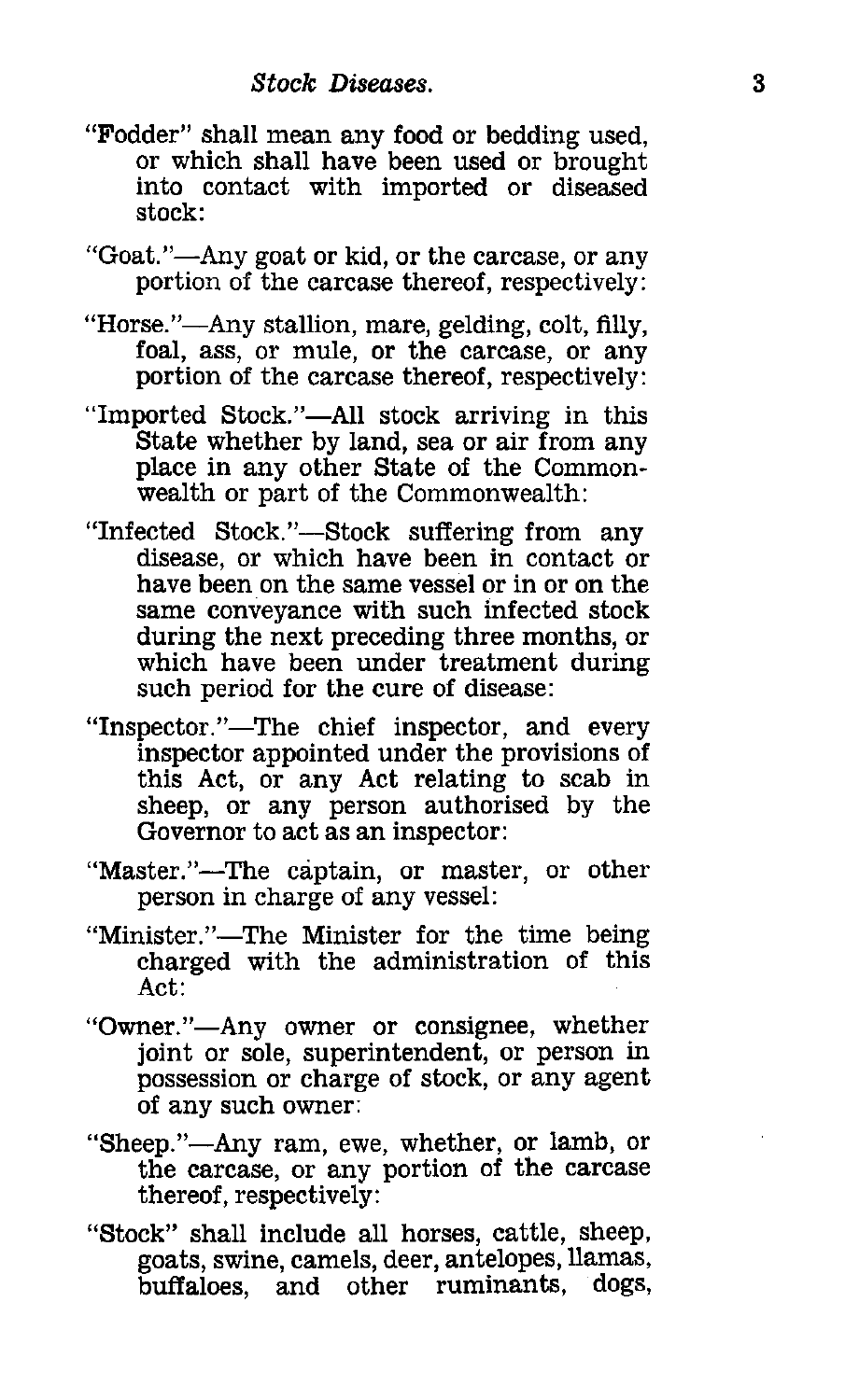- "Fodder" shall mean any food or bedding used, or which shall have been used or brought into contact with imported or diseased stock:
- "Goat."—Any goat or kid, or the carcase, or any portion of the carcase thereof, respectively:
- "Horse."—Any stallion, mare, gelding, colt, filly, foal, ass, or mule, or the carcase, or any portion of the carcase thereof, respectively:
- "Imported Stock."—All stock arriving in this State whether by land, sea or air from any place in any other State of the Commonwealth or part of the Commonwealth:
- "Infected Stock."—Stock suffering from any disease, or which have been in contact or have been on the same vessel or in or on the same conveyance with such infected stock during the next preceding three months, or which have been under treatment during such period for the cure of disease:
- "Inspector."—The chief inspector, and every inspector appointed under the provisions of this Act, or any Act relating to scab in sheep, or any person authorised by the Governor to act as an inspector:
- "Master."—The captain, or master, or other person in charge of any vessel:
- "Minister."—The Minister for the time being charged with the administration of this Act:
- "Owner."—Any owner or consignee, whether joint or sole, superintendent, or person in possession or charge of stock, or any agent of any such owner:
- "Sheep."—Any ram, ewe, whether, or lamb, or the carcase, or any portion of the carcase thereof, respectively:
- "Stock" shall include all horses, cattle, sheep, goats, swine, camels, deer, antelopes, llamas, buffaloes, and other ruminants, dogs,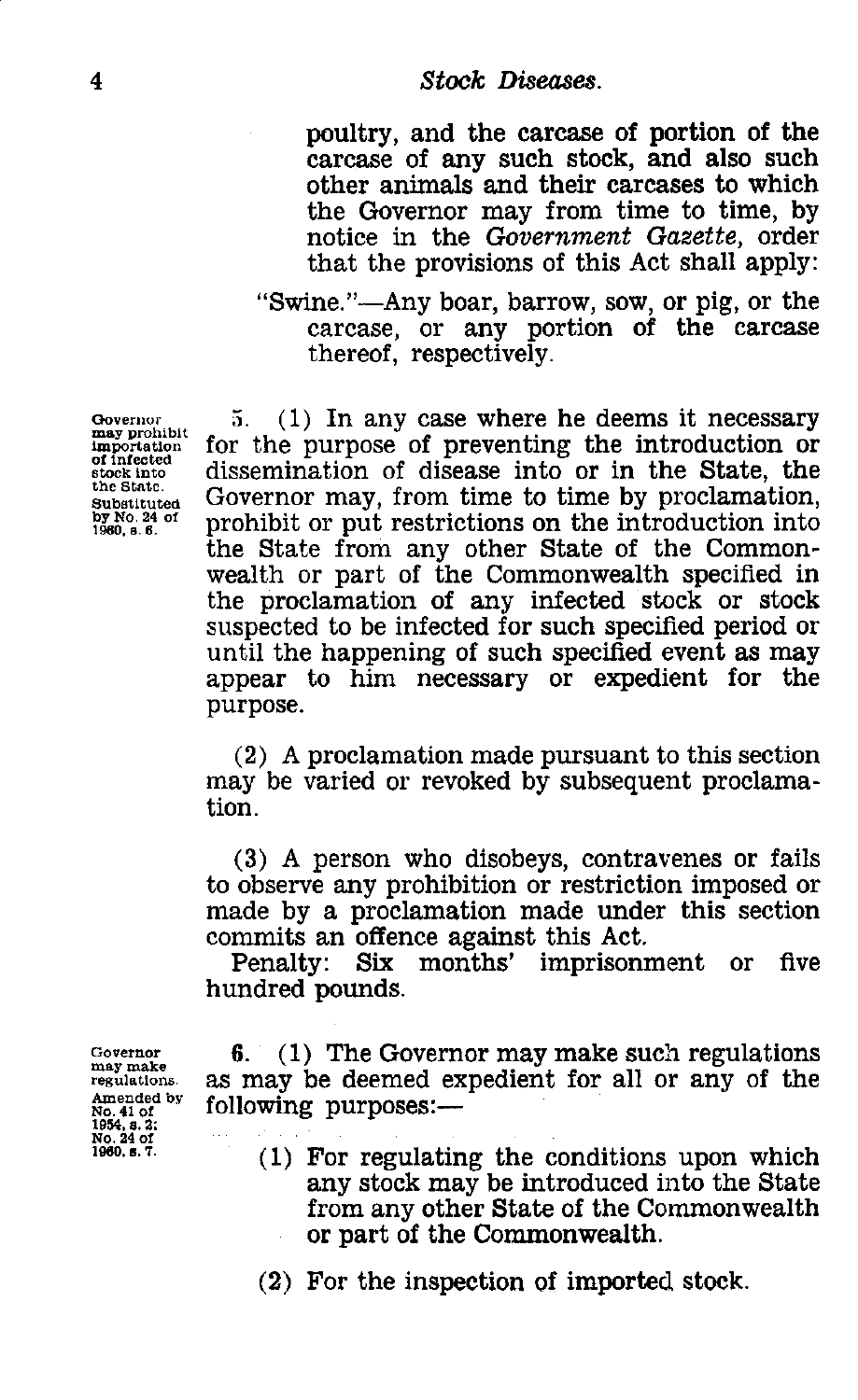4<br>
Stock Diseases.<br>
poultry, and the carcase<br>
carcase of any such sto poultry, and the carcase of portion of the carcase of any such stock, and also such other animals and their carcases to which the Governor may from time to time, by notice in the *Government Gazette,* order that the provisions of this Act shall apply:

> "Swine."—Any boar, barrow, sow, or pig, or the carcase, or any portion of the carcase thereof, respectively.

Governor may prohibit importation of infected stock into the State. Substituted by No. 24 of<br>1960, s. 6.

5. (1) In any case where he deems it necessary for the purpose of preventing the introduction or dissemination of disease into or in the State, the Governor may, from time to time by proclamation, prohibit or put restrictions on the introduction into the State from any other State of the Commonwealth or part of the Commonwealth specified in the proclamation of any infected stock or stock suspected to be infected for such specified period or until the happening of such specified event as may appear to him necessary or expedient for the purpose.

(2) A proclamation made pursuant to this section may be varied or revoked by subsequent proclamation.

(3) A person who disobeys, contravenes or fails to observe any prohibition or restriction imposed or made by a proclamation made under this section commits an offence against this Act.

Penalty: Six months' imprisonment or five hundred pounds.

6. (1) The Governor may make such regulations as may be deemed expedient for all or any of the following purposes:

(1) For regulating the conditions upon which any stock may be introduced into the State from any other State of the Commonwealth or part of the Commonwealth.

(2) For the inspection of imported stock.

Governor may make regulations. Amended by No. 91 of 1054, e. 2: No. 24 of 1080, e. 7.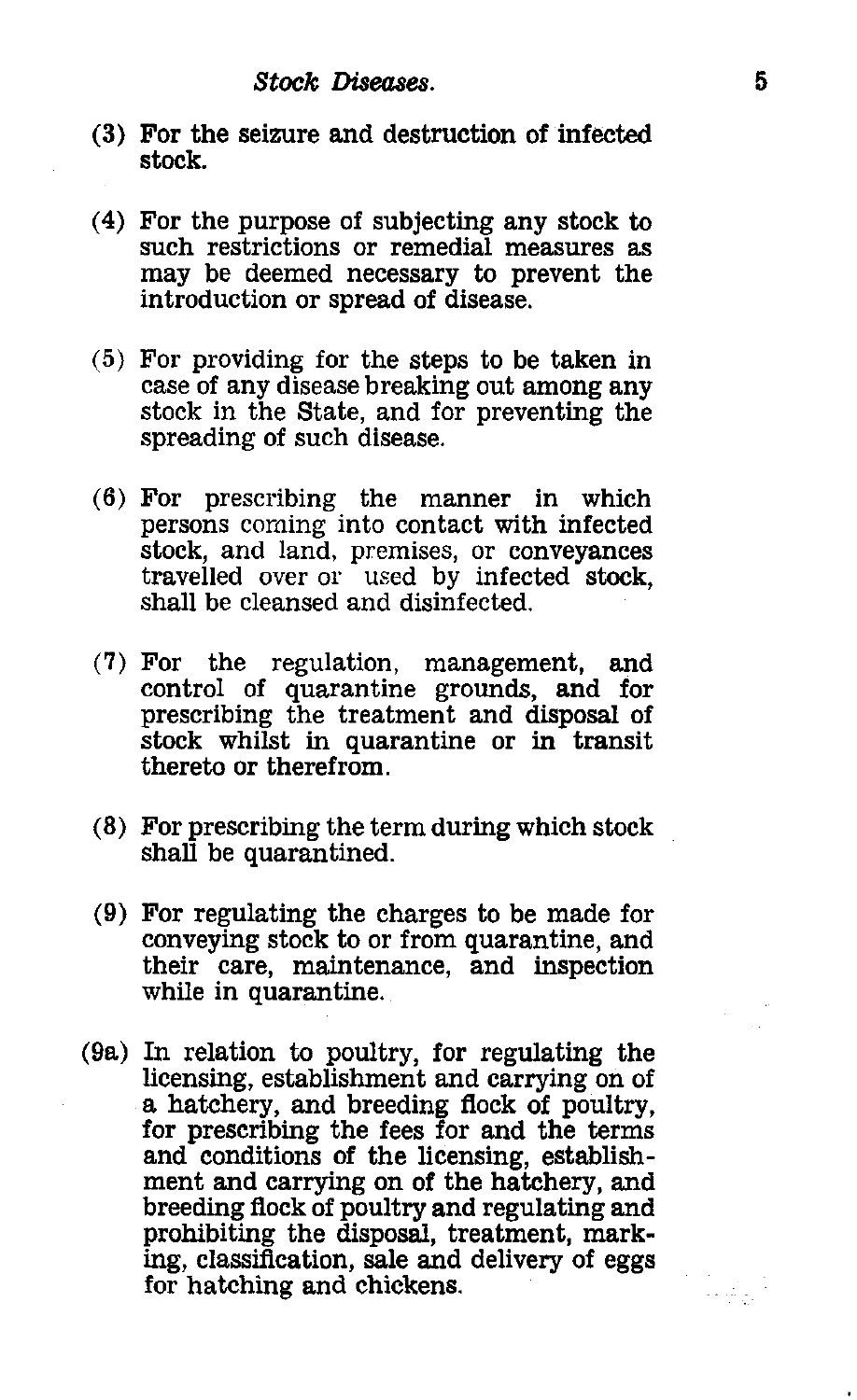- **Stock Diseases.**<br> **5**<br> **5**<br> **5**<br> **5**<br> **5**<br> **5** (3) For the seizure and destruction of infected stock.
- (4) For the purpose of subjecting any stock to such restrictions or remedial measures as may be deemed necessary to prevent the introduction or spread of disease.
- (5) For providing for the steps to be taken in case of any disease breaking out among any stock in the State, and for preventing the spreading of such disease.
- (6) For prescribing the manner in which persons coming into contact with infected stock, and land, premises, or conveyances travelled over or used by infected stock, shall be cleansed and disinfected.
- (7) For the regulation, management, and control of quarantine grounds, and for prescribing the treatment and disposal of stock whilst in quarantine or in transit thereto or therefrom.
- (8) For prescribing the term during which stock shall be quarantined.
- (9) For regulating the charges to be made for conveying stock to or from quarantine, and their care, maintenance, and inspection while in quarantine.
- (9a) In relation to poultry, for regulating the licensing, establishment and carrying on of a hatchery, and breeding flock of poultry, for prescribing the fees for and the terms and conditions of the licensing, establishment and carrying on of the hatchery, and breeding flock of poultry and regulating and prohibiting the disposal, treatment, marking, classification, sale and delivery of eggs for hatching and chickens.

lista (f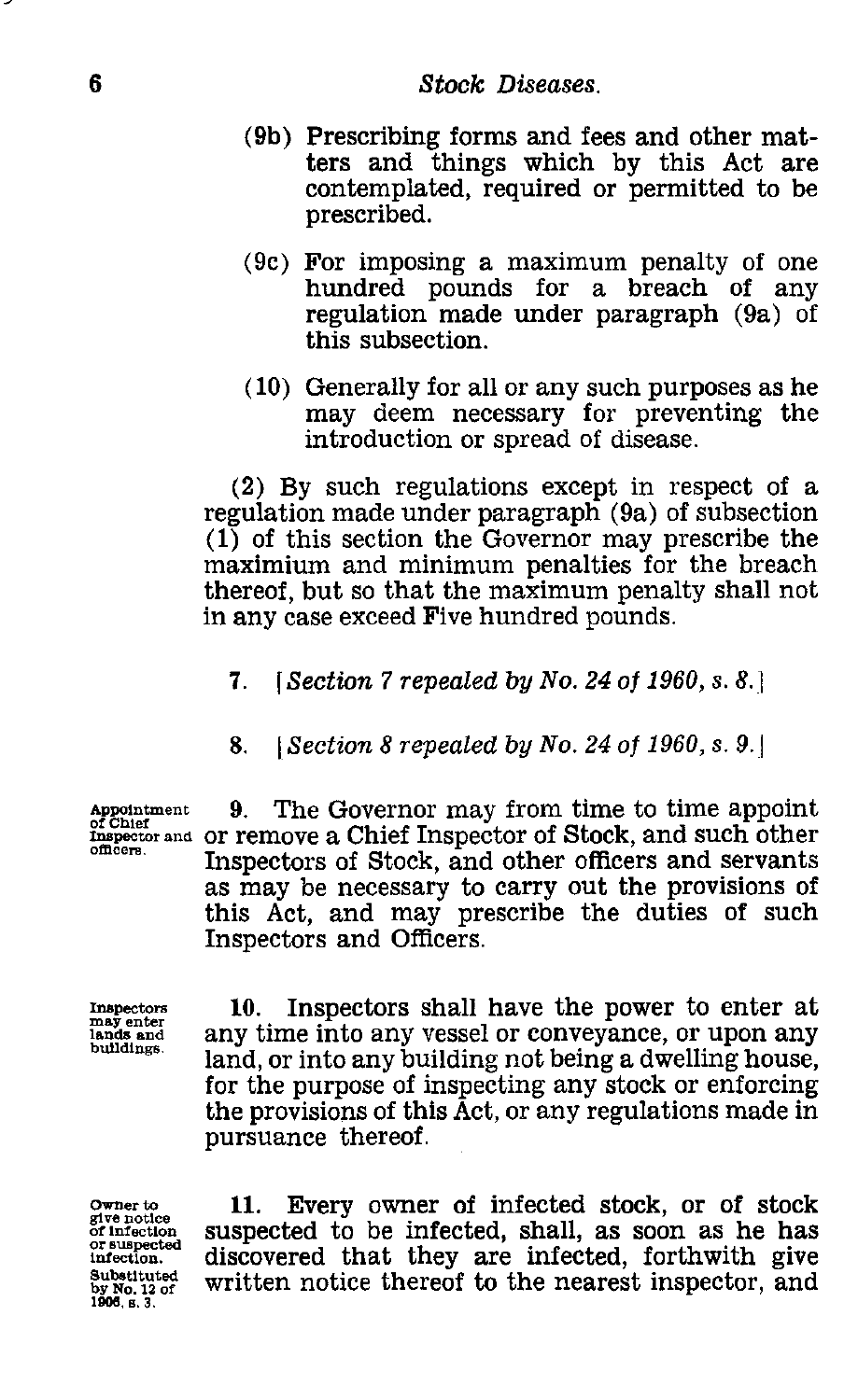- 6<br> **Stock Diseases.**<br>
(9b) Prescribing forms and fe<br>
ters and things which (9b) Prescribing forms and fees and other matters and things which by this Act are contemplated, required or permitted to be prescribed.
	- (9c) For imposing a maximum penalty of one hundred pounds for a breach of any regulation made under paragraph (9a) of this subsection.
	- (10) Generally for all or any such purposes as he may deem necessary for preventing the introduction or spread of disease.

(2) By such regulations except in respect of a regulation made under paragraph (9a) of subsection (1) of this section the Governor may prescribe the maximium and minimum penalties for the breach thereof, but so that the maximum penalty shall not in any case exceed Five hundred pounds.

- *7. [Section 7 repealed* by *No. 24 of 1960, s. 8.]*
- 8. <sup>I</sup>*Section 8 repealed by No. 24 of 1960, s. 9d*

**Appointment** of Chief **Inspector and** Or remove a Chief Inspector of Stock, and such other 9. The Governor may from time to time appoint Inspectors of Stock, and other officers and servants as may be necessary to carry out the provisions of this Act, and may prescribe the duties of such Inspectors and Officers.

**Inspectors may enter lands and buildings.**

10. Inspectors shall have the power to enter at any time into any vessel or conveyance, or upon any land, or into any building not being a dwelling house, for the purpose of inspecting any stock or enforcing the provisions of this Act, or any regulations made in pursuance thereof.

**Owner to give notice of infection or suspected infection. Substituted by No. 12 of 1906, s. 3.**

11. Every owner of infected stock, or of stock suspected to be infected, shall, as soon as he has discovered that they are infected, forthwith give written notice thereof to the nearest inspector, and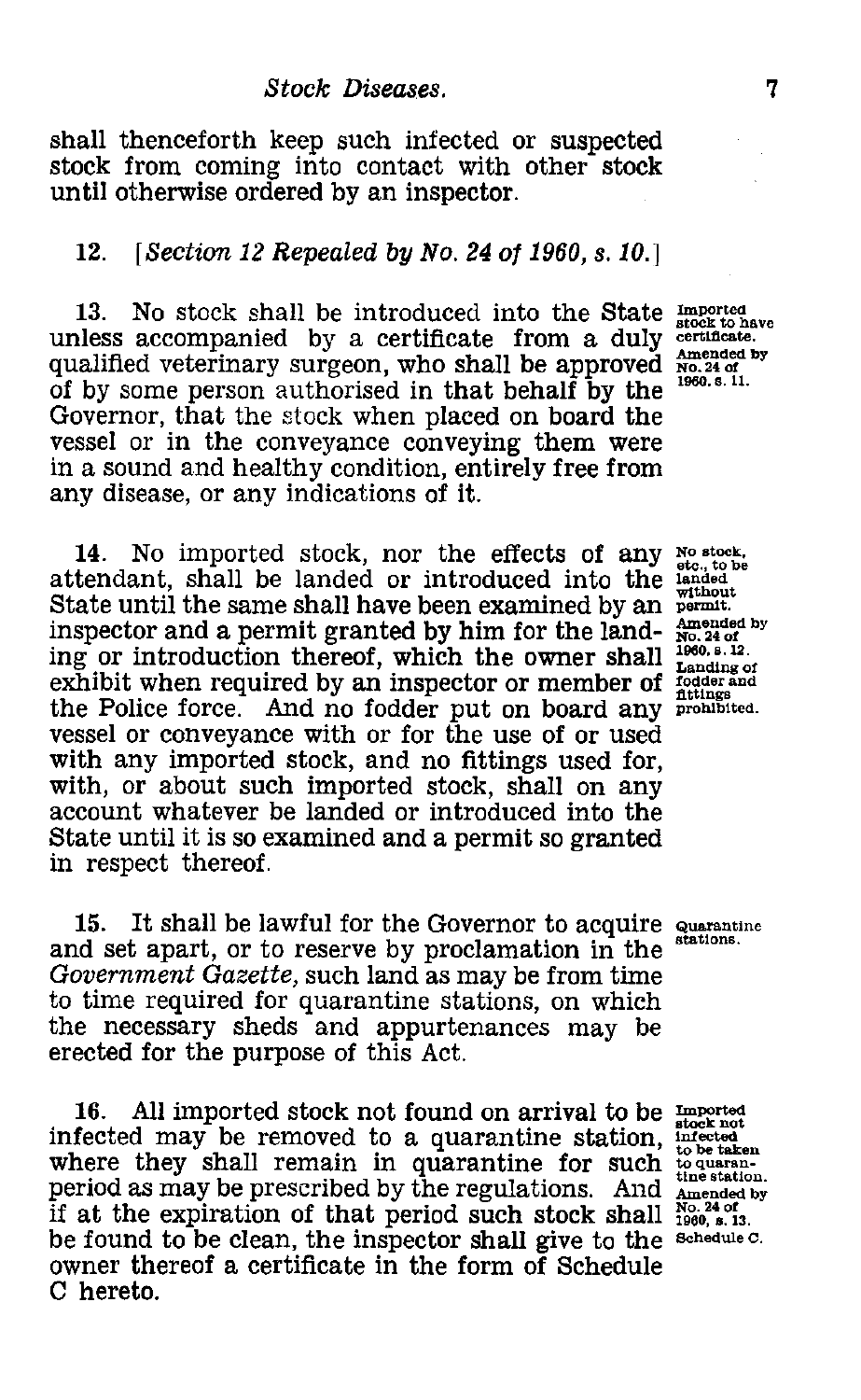*Stock Diseases.*<br> *7*<br> *Reep such infected or suspected g into contact with other stock***<br>
<b>***P and by an intensity* shall thenceforth keep such infected or suspected stock from coming into contact with other stock until otherwise ordered by an inspector.

### *12. [Section 12 Repealed by No. 24 of 1960, s. 10.]*

13. No stock shall be introduced into the State  $\frac{Imported}{stock\ to\ have}$ unless accompanied by a certificate from a duly certificate. 13. No stock shall be introduced into the State  $_{\text{stock to have}}^{\text{model to the Minkon}}$ <br>unless accompanied by a certificate from a duly estimate.<br>qualified veterinary surgeon, who shall be approved  $_{\text{No.24 of}}^{\text{model to the Minkon}}$ <br>of hy some nerso qualified veterinary surgeon, who shall be approved No. 24 of<br>of by some person authorised in that behalf by the <sup>1960, s. 11.</sup> Governor, that the stock when placed on board the vessel or in the conveyance conveying them were in a sound and healthy condition, entirely free from any disease, or any indications of it.

14. No imported stock, nor the effects of any No stock, to be attendant, shall be landed or introduced into the landed State until the same shall have been examined by an permit. inspector and a permit granted by him for the land- $\frac{\text{Amended by}}{\text{Npc}}$  or introduction thereof, which the owner shall  $^{1960.8 \cdot 12}$ ing or introduction thereof, which the owner shall exhibit when required by an inspector or member of fodder and the Police force. And no fodder put on board any prohibited. vessel or conveyance with or for the use of or used with any imported stock, and no fittings used for, with, or about such imported stock, shall on any account whatever be landed or introduced into the State until it is so examined and a permit so granted in respect thereof.

15. It shall be lawful for the Governor to acquire  $\frac{1}{100}$  stations. and set apart, or to reserve by proclamation in the *Government Gazette,* such land as may be from time to time required for quarantine stations, on which the necessary sheds and appurtenances may be erected for the purpose of this Act.

16. All imported stock not found on arrival to be imported infected may be removed to a quarantine station, interest. where they shall remain in quarantine for such  $\frac{10000 \text{ kg}}{1 \text{ m/s}}$ period as may be prescribed by the regulations. And Amended by if at the expiration of that period such stock shall  $\frac{N_O.240f}{1960, 8.13}$ be found to be clean, the inspector shall give to the Schedule C. owner thereof a certificate in the form of Schedule C hereto.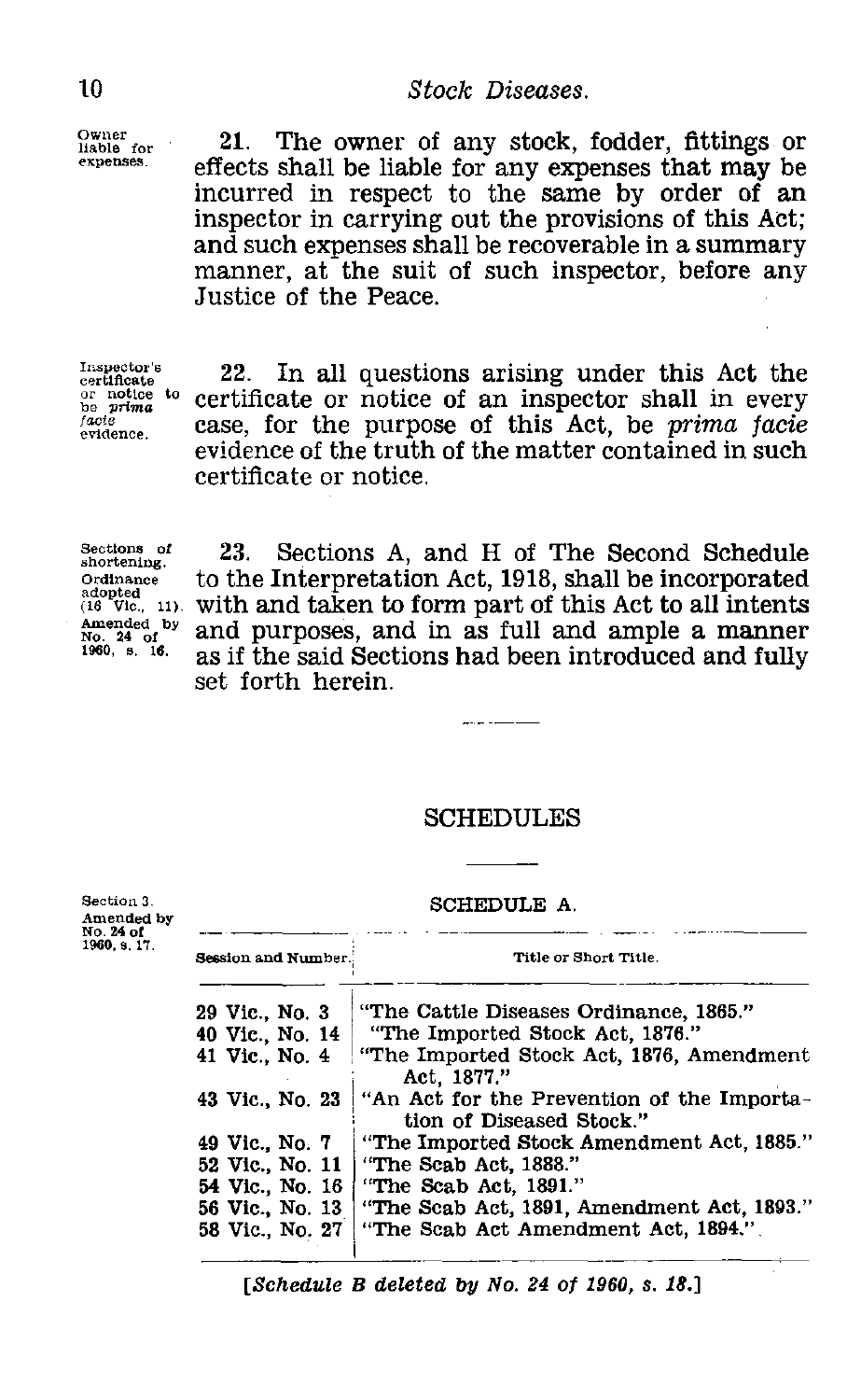Owner liable for expenses.

10 Stock Diseases.<br>
<sup>Owner</sup> 21. The owner of any stock,<br>
effects shall be liable for any exp 21. The owner of any stock, fodder, fittings or effects shall be liable for any expenses that may be incurred in respect to the same by order of an inspector in carrying out the provisions of this Act; and such expenses shall be recoverable in a summary manner, at the suit of such inspector, before any Justice of the Peace.

Inspector's certificate  $\frac{1}{\sqrt{2}}$ or notice to<br>be *prima* facte<br>evidence.

22. In all questions arising under this Act the certificate or notice of an inspector shall in every case, for the purpose of this Act, be *prima facie* evidence of the truth of the matter contained in such certificate or notice.

Sections of shortening. Ordinance adopted (16 Vic., 11). Amended by No. 24 of 1960, s. 16.

Section 3. Amended by No. *24* of 1960. 8. 17.

23. Sections A, and H of The Second Schedule to the Interpretation Act, 1918, shall be incorporated with and taken to form part of this Act to all intents and purposes, and in as full and ample a manner as if the said Sections had been introduced and fully set forth herein.

### SCHEDULES

 $\sim$  -  $\sim$  -  $\sim$ 

SCHEDULE A.

| Session and Number. | Title or Short Title.                                                   |  |  |
|---------------------|-------------------------------------------------------------------------|--|--|
| 29 Vic., No. 3      | "The Cattle Diseases Ordinance, 1865."                                  |  |  |
|                     | "The Imported Stock Act, 1876."                                         |  |  |
| 41 Vic., No. 4      | "The Imported Stock Act, 1876, Amendment<br>Act. 1877."                 |  |  |
| 43 Vic., No. 23     | "An Act for the Prevention of the Importa-<br>tion of Diseased Stock."  |  |  |
|                     | "The Imported Stock Amendment Act, 1885."                               |  |  |
|                     | "The Scab Act, 1888."                                                   |  |  |
| 54 Vic., No. 16     | "The Scab Act, 1891."                                                   |  |  |
|                     | "The Scab Act, 1891, Amendment Act, 1893."                              |  |  |
| 58 Vic., No. 27     | "The Scab Act Amendment Act, 1894."                                     |  |  |
|                     | 40 Vic., No. 14<br>49 Vic., No. 7<br>52 Vic., No. 11<br>56 Vic., No. 13 |  |  |

*[Schedule B deleted by No. 24 of 1960, s. 18.]*